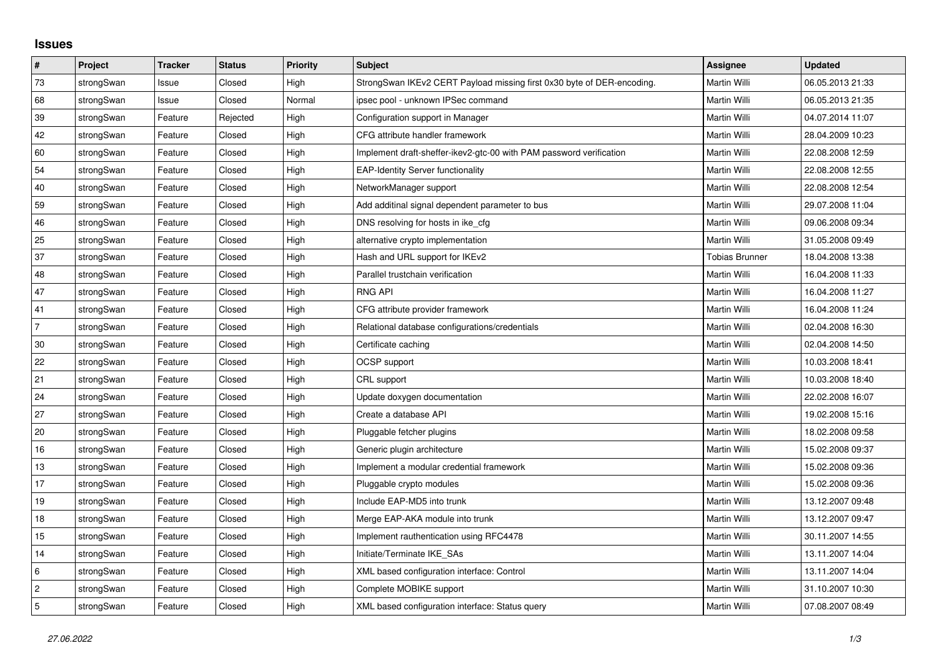## **Issues**

| $\vert$ #      | Project    | <b>Tracker</b> | <b>Status</b> | <b>Priority</b> | <b>Subject</b>                                                         | Assignee              | <b>Updated</b>   |
|----------------|------------|----------------|---------------|-----------------|------------------------------------------------------------------------|-----------------------|------------------|
| 73             | strongSwan | Issue          | Closed        | High            | StrongSwan IKEv2 CERT Payload missing first 0x30 byte of DER-encoding. | <b>Martin Willi</b>   | 06.05.2013 21:33 |
| 68             | strongSwan | Issue          | Closed        | Normal          | ipsec pool - unknown IPSec command                                     | Martin Willi          | 06.05.2013 21:35 |
| 39             | strongSwan | Feature        | Rejected      | High            | Configuration support in Manager                                       | Martin Willi          | 04.07.2014 11:07 |
| 42             | strongSwan | Feature        | Closed        | High            | CFG attribute handler framework                                        | Martin Willi          | 28.04.2009 10:23 |
| 60             | strongSwan | Feature        | Closed        | High            | Implement draft-sheffer-ikev2-gtc-00 with PAM password verification    | Martin Willi          | 22.08.2008 12:59 |
| 54             | strongSwan | Feature        | Closed        | High            | <b>EAP-Identity Server functionality</b>                               | Martin Willi          | 22.08.2008 12:55 |
| 40             | strongSwan | Feature        | Closed        | High            | NetworkManager support                                                 | Martin Willi          | 22.08.2008 12:54 |
| 59             | strongSwan | Feature        | Closed        | High            | Add additinal signal dependent parameter to bus                        | Martin Willi          | 29.07.2008 11:04 |
| 46             | strongSwan | Feature        | Closed        | High            | DNS resolving for hosts in ike_cfg                                     | Martin Willi          | 09.06.2008 09:34 |
| 25             | strongSwan | Feature        | Closed        | High            | alternative crypto implementation                                      | Martin Willi          | 31.05.2008 09:49 |
| 37             | strongSwan | Feature        | Closed        | High            | Hash and URL support for IKEv2                                         | <b>Tobias Brunner</b> | 18.04.2008 13:38 |
| 48             | strongSwan | Feature        | Closed        | High            | Parallel trustchain verification                                       | <b>Martin Willi</b>   | 16.04.2008 11:33 |
| 47             | strongSwan | Feature        | Closed        | High            | <b>RNG API</b>                                                         | Martin Willi          | 16.04.2008 11:27 |
| 41             | strongSwan | Feature        | Closed        | High            | CFG attribute provider framework                                       | Martin Willi          | 16.04.2008 11:24 |
| $\overline{7}$ | strongSwan | Feature        | Closed        | High            | Relational database configurations/credentials                         | Martin Willi          | 02.04.2008 16:30 |
| 30             | strongSwan | Feature        | Closed        | High            | Certificate caching                                                    | Martin Willi          | 02.04.2008 14:50 |
| 22             | strongSwan | Feature        | Closed        | High            | OCSP support                                                           | Martin Willi          | 10.03.2008 18:41 |
| 21             | strongSwan | Feature        | Closed        | High            | CRL support                                                            | Martin Willi          | 10.03.2008 18:40 |
| 24             | strongSwan | Feature        | Closed        | High            | Update doxygen documentation                                           | Martin Willi          | 22.02.2008 16:07 |
| 27             | strongSwan | Feature        | Closed        | High            | Create a database API                                                  | Martin Willi          | 19.02.2008 15:16 |
| 20             | strongSwan | Feature        | Closed        | High            | Pluggable fetcher plugins                                              | Martin Willi          | 18.02.2008 09:58 |
| 16             | strongSwan | Feature        | Closed        | High            | Generic plugin architecture                                            | Martin Willi          | 15.02.2008 09:37 |
| $13$           | strongSwan | Feature        | Closed        | High            | Implement a modular credential framework                               | Martin Willi          | 15.02.2008 09:36 |
| 17             | strongSwan | Feature        | Closed        | High            | Pluggable crypto modules                                               | Martin Willi          | 15.02.2008 09:36 |
| 19             | strongSwan | Feature        | Closed        | High            | Include EAP-MD5 into trunk                                             | <b>Martin Willi</b>   | 13.12.2007 09:48 |
| 18             | strongSwan | Feature        | Closed        | High            | Merge EAP-AKA module into trunk                                        | Martin Willi          | 13.12.2007 09:47 |
| 15             | strongSwan | Feature        | Closed        | High            | Implement rauthentication using RFC4478                                | Martin Willi          | 30.11.2007 14:55 |
| 14             | strongSwan | Feature        | Closed        | High            | Initiate/Terminate IKE_SAs                                             | Martin Willi          | 13.11.2007 14:04 |
| 6              | strongSwan | Feature        | Closed        | High            | XML based configuration interface: Control                             | Martin Willi          | 13.11.2007 14:04 |
| $\overline{c}$ | strongSwan | Feature        | Closed        | High            | Complete MOBIKE support                                                | Martin Willi          | 31.10.2007 10:30 |
| $\overline{5}$ | strongSwan | Feature        | Closed        | High            | XML based configuration interface: Status query                        | Martin Willi          | 07.08.2007 08:49 |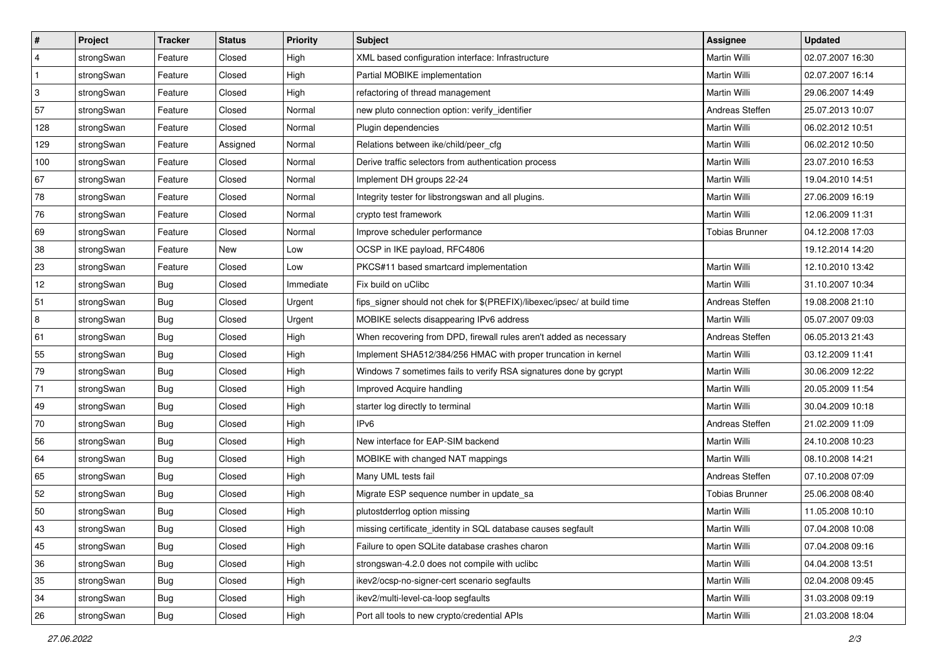| #              | Project    | <b>Tracker</b> | <b>Status</b> | <b>Priority</b> | Subject                                                                 | Assignee              | <b>Updated</b>   |
|----------------|------------|----------------|---------------|-----------------|-------------------------------------------------------------------------|-----------------------|------------------|
| $\overline{4}$ | strongSwan | Feature        | Closed        | High            | XML based configuration interface: Infrastructure                       | Martin Willi          | 02.07.2007 16:30 |
| $\mathbf{1}$   | strongSwan | Feature        | Closed        | High            | Partial MOBIKE implementation                                           | Martin Willi          | 02.07.2007 16:14 |
| $\,3$          | strongSwan | Feature        | Closed        | High            | refactoring of thread management                                        | Martin Willi          | 29.06.2007 14:49 |
| 57             | strongSwan | Feature        | Closed        | Normal          | new pluto connection option: verify_identifier                          | Andreas Steffen       | 25.07.2013 10:07 |
| 128            | strongSwan | Feature        | Closed        | Normal          | Plugin dependencies                                                     | Martin Willi          | 06.02.2012 10:51 |
| 129            | strongSwan | Feature        | Assigned      | Normal          | Relations between ike/child/peer_cfg                                    | Martin Willi          | 06.02.2012 10:50 |
| 100            | strongSwan | Feature        | Closed        | Normal          | Derive traffic selectors from authentication process                    | Martin Willi          | 23.07.2010 16:53 |
| 67             | strongSwan | Feature        | Closed        | Normal          | Implement DH groups 22-24                                               | Martin Willi          | 19.04.2010 14:51 |
| 78             | strongSwan | Feature        | Closed        | Normal          | Integrity tester for libstrongswan and all plugins.                     | Martin Willi          | 27.06.2009 16:19 |
| 76             | strongSwan | Feature        | Closed        | Normal          | crypto test framework                                                   | Martin Willi          | 12.06.2009 11:31 |
| 69             | strongSwan | Feature        | Closed        | Normal          | Improve scheduler performance                                           | <b>Tobias Brunner</b> | 04.12.2008 17:03 |
| 38             | strongSwan | Feature        | New           | Low             | OCSP in IKE payload, RFC4806                                            |                       | 19.12.2014 14:20 |
| 23             | strongSwan | Feature        | Closed        | Low             | PKCS#11 based smartcard implementation                                  | Martin Willi          | 12.10.2010 13:42 |
| 12             | strongSwan | <b>Bug</b>     | Closed        | Immediate       | Fix build on uClibc                                                     | <b>Martin Willi</b>   | 31.10.2007 10:34 |
| 51             | strongSwan | <b>Bug</b>     | Closed        | Urgent          | fips_signer should not chek for \$(PREFIX)/libexec/ipsec/ at build time | Andreas Steffen       | 19.08.2008 21:10 |
| 8              | strongSwan | Bug            | Closed        | Urgent          | MOBIKE selects disappearing IPv6 address                                | Martin Willi          | 05.07.2007 09:03 |
| 61             | strongSwan | <b>Bug</b>     | Closed        | High            | When recovering from DPD, firewall rules aren't added as necessary      | Andreas Steffen       | 06.05.2013 21:43 |
| 55             | strongSwan | Bug            | Closed        | High            | Implement SHA512/384/256 HMAC with proper truncation in kernel          | Martin Willi          | 03.12.2009 11:41 |
| 79             | strongSwan | Bug            | Closed        | High            | Windows 7 sometimes fails to verify RSA signatures done by gcrypt       | Martin Willi          | 30.06.2009 12:22 |
| 71             | strongSwan | Bug            | Closed        | High            | Improved Acquire handling                                               | Martin Willi          | 20.05.2009 11:54 |
| 49             | strongSwan | Bug            | Closed        | High            | starter log directly to terminal                                        | Martin Willi          | 30.04.2009 10:18 |
| 70             | strongSwan | <b>Bug</b>     | Closed        | High            | IPv6                                                                    | Andreas Steffen       | 21.02.2009 11:09 |
| 56             | strongSwan | Bug            | Closed        | High            | New interface for EAP-SIM backend                                       | Martin Willi          | 24.10.2008 10:23 |
| 64             | strongSwan | Bug            | Closed        | High            | MOBIKE with changed NAT mappings                                        | Martin Willi          | 08.10.2008 14:21 |
| 65             | strongSwan | Bug            | Closed        | High            | Many UML tests fail                                                     | Andreas Steffen       | 07.10.2008 07:09 |
| 52             | strongSwan | Bug            | Closed        | High            | Migrate ESP sequence number in update_sa                                | <b>Tobias Brunner</b> | 25.06.2008 08:40 |
| 50             | strongSwan | <b>Bug</b>     | Closed        | High            | plutostderrlog option missing                                           | Martin Willi          | 11.05.2008 10:10 |
| 43             | strongSwan | <b>Bug</b>     | Closed        | High            | missing certificate_identity in SQL database causes segfault            | Martin Willi          | 07.04.2008 10:08 |
| 45             | strongSwan | Bug            | Closed        | High            | Failure to open SQLite database crashes charon                          | Martin Willi          | 07.04.2008 09:16 |
| 36             | strongSwan | Bug            | Closed        | High            | strongswan-4.2.0 does not compile with uclibc                           | Martin Willi          | 04.04.2008 13:51 |
| 35             | strongSwan | Bug            | Closed        | High            | ikev2/ocsp-no-signer-cert scenario segfaults                            | Martin Willi          | 02.04.2008 09:45 |
| 34             | strongSwan | <b>Bug</b>     | Closed        | High            | ikev2/multi-level-ca-loop segfaults                                     | Martin Willi          | 31.03.2008 09:19 |
| 26             | strongSwan | <b>Bug</b>     | Closed        | High            | Port all tools to new crypto/credential APIs                            | Martin Willi          | 21.03.2008 18:04 |